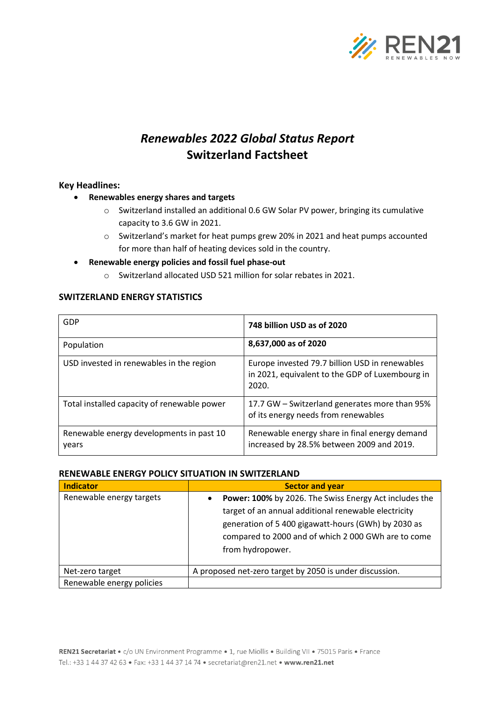

# *Renewables 2022 Global Status Report* **Switzerland Factsheet**

## **Key Headlines:**

- **Renewables energy shares and targets**
	- o Switzerland installed an additional 0.6 GW Solar PV power, bringing its cumulative capacity to 3.6 GW in 2021.
	- o Switzerland's market for heat pumps grew 20% in 2021 and heat pumps accounted for more than half of heating devices sold in the country.
- **Renewable energy policies and fossil fuel phase-out**
	- o Switzerland allocated USD 521 million for solar rebates in 2021.

## **SWITZERLAND ENERGY STATISTICS**

| GDP                                               | 748 billion USD as of 2020                                                                                 |
|---------------------------------------------------|------------------------------------------------------------------------------------------------------------|
| Population                                        | 8,637,000 as of 2020                                                                                       |
| USD invested in renewables in the region          | Europe invested 79.7 billion USD in renewables<br>in 2021, equivalent to the GDP of Luxembourg in<br>2020. |
| Total installed capacity of renewable power       | 17.7 GW – Switzerland generates more than 95%<br>of its energy needs from renewables                       |
| Renewable energy developments in past 10<br>years | Renewable energy share in final energy demand<br>increased by 28.5% between 2009 and 2019.                 |

### **RENEWABLE ENERGY POLICY SITUATION IN SWITZERLAND**

| <b>Indicator</b>          | <b>Sector and year</b>                                                                                                                                                                                                                                        |  |
|---------------------------|---------------------------------------------------------------------------------------------------------------------------------------------------------------------------------------------------------------------------------------------------------------|--|
| Renewable energy targets  | Power: 100% by 2026. The Swiss Energy Act includes the<br>$\bullet$<br>target of an annual additional renewable electricity<br>generation of 5 400 gigawatt-hours (GWh) by 2030 as<br>compared to 2000 and of which 2 000 GWh are to come<br>from hydropower. |  |
| Net-zero target           | A proposed net-zero target by 2050 is under discussion.                                                                                                                                                                                                       |  |
| Renewable energy policies |                                                                                                                                                                                                                                                               |  |